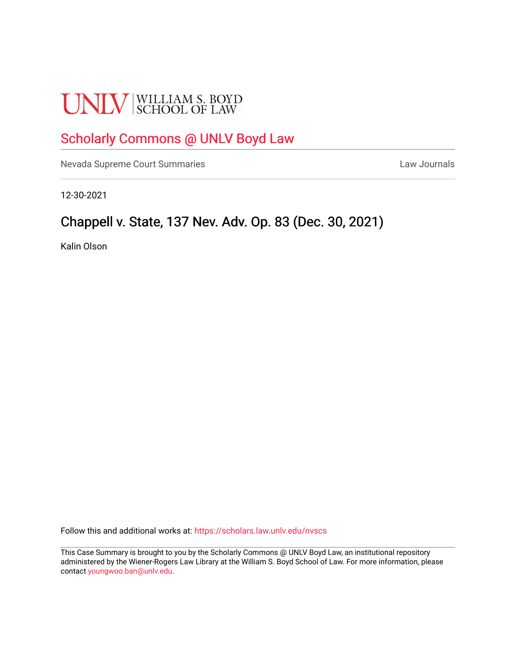# **UNLV** SCHOOL OF LAW

# [Scholarly Commons @ UNLV Boyd Law](https://scholars.law.unlv.edu/)

[Nevada Supreme Court Summaries](https://scholars.law.unlv.edu/nvscs) **Law Journals** Law Journals

12-30-2021

# Chappell v. State, 137 Nev. Adv. Op. 83 (Dec. 30, 2021)

Kalin Olson

Follow this and additional works at: [https://scholars.law.unlv.edu/nvscs](https://scholars.law.unlv.edu/nvscs?utm_source=scholars.law.unlv.edu%2Fnvscs%2F1470&utm_medium=PDF&utm_campaign=PDFCoverPages)

This Case Summary is brought to you by the Scholarly Commons @ UNLV Boyd Law, an institutional repository administered by the Wiener-Rogers Law Library at the William S. Boyd School of Law. For more information, please contact [youngwoo.ban@unlv.edu](mailto:youngwoo.ban@unlv.edu).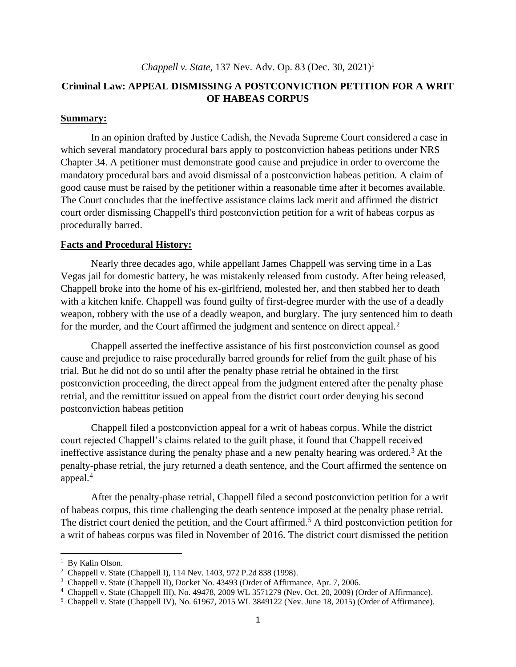# **Criminal Law: APPEAL DISMISSING A POSTCONVICTION PETITION FOR A WRIT OF HABEAS CORPUS**

#### **Summary:**

In an opinion drafted by Justice Cadish, the Nevada Supreme Court considered a case in which several mandatory procedural bars apply to postconviction habeas petitions under NRS Chapter 34. A petitioner must demonstrate good cause and prejudice in order to overcome the mandatory procedural bars and avoid dismissal of a postconviction habeas petition. A claim of good cause must be raised by the petitioner within a reasonable time after it becomes available. The Court concludes that the ineffective assistance claims lack merit and affirmed the district court order dismissing Chappell's third postconviction petition for a writ of habeas corpus as procedurally barred.

#### **Facts and Procedural History:**

Nearly three decades ago, while appellant James Chappell was serving time in a Las Vegas jail for domestic battery, he was mistakenly released from custody. After being released, Chappell broke into the home of his ex-girlfriend, molested her, and then stabbed her to death with a kitchen knife. Chappell was found guilty of first-degree murder with the use of a deadly weapon, robbery with the use of a deadly weapon, and burglary. The jury sentenced him to death for the murder, and the Court affirmed the judgment and sentence on direct appeal.<sup>2</sup>

Chappell asserted the ineffective assistance of his first postconviction counsel as good cause and prejudice to raise procedurally barred grounds for relief from the guilt phase of his trial. But he did not do so until after the penalty phase retrial he obtained in the first postconviction proceeding, the direct appeal from the judgment entered after the penalty phase retrial, and the remittitur issued on appeal from the district court order denying his second postconviction habeas petition

Chappell filed a postconviction appeal for a writ of habeas corpus. While the district court rejected Chappell's claims related to the guilt phase, it found that Chappell received ineffective assistance during the penalty phase and a new penalty hearing was ordered.<sup>3</sup> At the penalty-phase retrial, the jury returned a death sentence, and the Court affirmed the sentence on appeal.<sup>4</sup>

After the penalty-phase retrial, Chappell filed a second postconviction petition for a writ of habeas corpus, this time challenging the death sentence imposed at the penalty phase retrial. The district court denied the petition, and the Court affirmed.<sup>5</sup> A third postconviction petition for a writ of habeas corpus was filed in November of 2016. The district court dismissed the petition

<sup>&</sup>lt;sup>1</sup> By Kalin Olson.

<sup>2</sup> Chappell v. State (Chappell I), 114 Nev. 1403, 972 P.2d 838 (1998).

<sup>3</sup> Chappell v. State (Chappell II), Docket No. 43493 (Order of Affirmance, Apr. 7, 2006.

<sup>4</sup> Chappell v. State (Chappell III), No. 49478, 2009 WL 3571279 (Nev. Oct. 20, 2009) (Order of Affirmance).

<sup>5</sup> Chappell v. State (Chappell IV), No. 61967, 2015 WL 3849122 (Nev. June 18, 2015) (Order of Affirmance).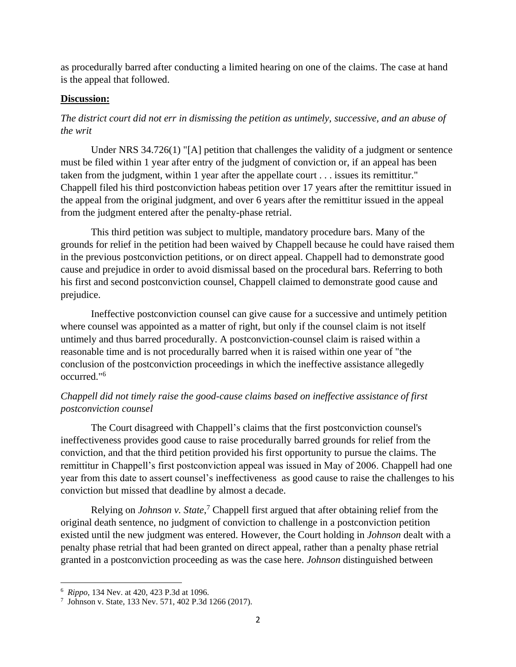as procedurally barred after conducting a limited hearing on one of the claims. The case at hand is the appeal that followed.

# **Discussion:**

# *The district court did not err in dismissing the petition as untimely, successive, and an abuse of the writ*

Under NRS 34.726(1) "[A] petition that challenges the validity of a judgment or sentence must be filed within 1 year after entry of the judgment of conviction or, if an appeal has been taken from the judgment, within 1 year after the appellate court . . . issues its remittitur." Chappell filed his third postconviction habeas petition over 17 years after the remittitur issued in the appeal from the original judgment, and over 6 years after the remittitur issued in the appeal from the judgment entered after the penalty-phase retrial.

This third petition was subject to multiple, mandatory procedure bars. Many of the grounds for relief in the petition had been waived by Chappell because he could have raised them in the previous postconviction petitions, or on direct appeal. Chappell had to demonstrate good cause and prejudice in order to avoid dismissal based on the procedural bars. Referring to both his first and second postconviction counsel, Chappell claimed to demonstrate good cause and prejudice.

Ineffective postconviction counsel can give cause for a successive and untimely petition where counsel was appointed as a matter of right, but only if the counsel claim is not itself untimely and thus barred procedurally. A postconviction-counsel claim is raised within a reasonable time and is not procedurally barred when it is raised within one year of "the conclusion of the postconviction proceedings in which the ineffective assistance allegedly occurred."<sup>6</sup>

# *Chappell did not timely raise the good-cause claims based on ineffective assistance of first postconviction counsel*

The Court disagreed with Chappell's claims that the first postconviction counsel's ineffectiveness provides good cause to raise procedurally barred grounds for relief from the conviction, and that the third petition provided his first opportunity to pursue the claims. The remittitur in Chappell's first postconviction appeal was issued in May of 2006. Chappell had one year from this date to assert counsel's ineffectiveness as good cause to raise the challenges to his conviction but missed that deadline by almost a decade.

Relying on *Johnson v. State*, <sup>7</sup> Chappell first argued that after obtaining relief from the original death sentence, no judgment of conviction to challenge in a postconviction petition existed until the new judgment was entered. However, the Court holding in *Johnson* dealt with a penalty phase retrial that had been granted on direct appeal, rather than a penalty phase retrial granted in a postconviction proceeding as was the case here. *Johnson* distinguished between

<sup>6</sup> *Rippo*, 134 Nev. at 420, 423 P.3d at 1096.

<sup>7</sup> Johnson v. State, 133 Nev. 571, 402 P.3d 1266 (2017).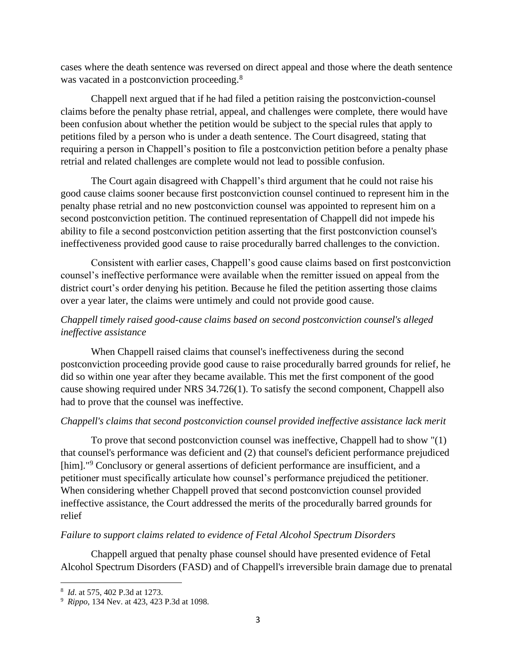cases where the death sentence was reversed on direct appeal and those where the death sentence was vacated in a postconviction proceeding.<sup>8</sup>

Chappell next argued that if he had filed a petition raising the postconviction-counsel claims before the penalty phase retrial, appeal, and challenges were complete, there would have been confusion about whether the petition would be subject to the special rules that apply to petitions filed by a person who is under a death sentence. The Court disagreed, stating that requiring a person in Chappell's position to file a postconviction petition before a penalty phase retrial and related challenges are complete would not lead to possible confusion.

The Court again disagreed with Chappell's third argument that he could not raise his good cause claims sooner because first postconviction counsel continued to represent him in the penalty phase retrial and no new postconviction counsel was appointed to represent him on a second postconviction petition. The continued representation of Chappell did not impede his ability to file a second postconviction petition asserting that the first postconviction counsel's ineffectiveness provided good cause to raise procedurally barred challenges to the conviction.

Consistent with earlier cases, Chappell's good cause claims based on first postconviction counsel's ineffective performance were available when the remitter issued on appeal from the district court's order denying his petition. Because he filed the petition asserting those claims over a year later, the claims were untimely and could not provide good cause.

# *Chappell timely raised good-cause claims based on second postconviction counsel's alleged ineffective assistance*

When Chappell raised claims that counsel's ineffectiveness during the second postconviction proceeding provide good cause to raise procedurally barred grounds for relief, he did so within one year after they became available. This met the first component of the good cause showing required under NRS 34.726(1). To satisfy the second component, Chappell also had to prove that the counsel was ineffective.

# *Chappell's claims that second postconviction counsel provided ineffective assistance lack merit*

To prove that second postconviction counsel was ineffective, Chappell had to show "(1) that counsel's performance was deficient and (2) that counsel's deficient performance prejudiced [him]."<sup>9</sup> Conclusory or general assertions of deficient performance are insufficient, and a petitioner must specifically articulate how counsel's performance prejudiced the petitioner. When considering whether Chappell proved that second postconviction counsel provided ineffective assistance, the Court addressed the merits of the procedurally barred grounds for relief

### *Failure to support claims related to evidence of Fetal Alcohol Spectrum Disorders*

Chappell argued that penalty phase counsel should have presented evidence of Fetal Alcohol Spectrum Disorders (FASD) and of Chappell's irreversible brain damage due to prenatal

<sup>8</sup> *Id*. at 575, 402 P.3d at 1273.

<sup>9</sup> *Rippo*, 134 Nev. at 423, 423 P.3d at 1098.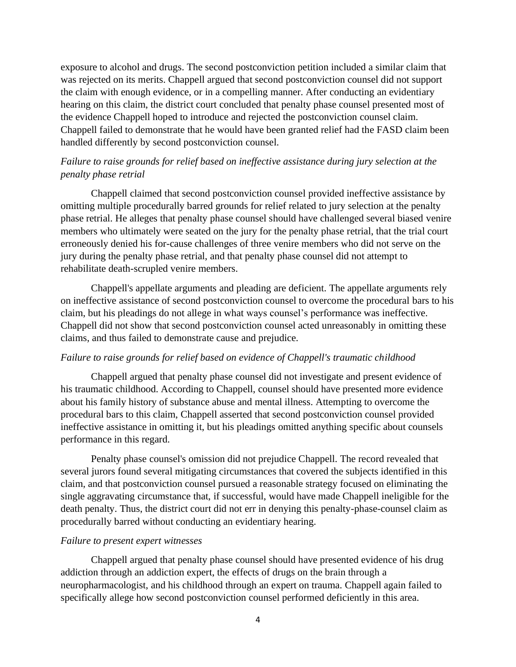exposure to alcohol and drugs. The second postconviction petition included a similar claim that was rejected on its merits. Chappell argued that second postconviction counsel did not support the claim with enough evidence, or in a compelling manner. After conducting an evidentiary hearing on this claim, the district court concluded that penalty phase counsel presented most of the evidence Chappell hoped to introduce and rejected the postconviction counsel claim. Chappell failed to demonstrate that he would have been granted relief had the FASD claim been handled differently by second postconviction counsel.

# *Failure to raise grounds for relief based on ineffective assistance during jury selection at the penalty phase retrial*

Chappell claimed that second postconviction counsel provided ineffective assistance by omitting multiple procedurally barred grounds for relief related to jury selection at the penalty phase retrial. He alleges that penalty phase counsel should have challenged several biased venire members who ultimately were seated on the jury for the penalty phase retrial, that the trial court erroneously denied his for-cause challenges of three venire members who did not serve on the jury during the penalty phase retrial, and that penalty phase counsel did not attempt to rehabilitate death-scrupled venire members.

Chappell's appellate arguments and pleading are deficient. The appellate arguments rely on ineffective assistance of second postconviction counsel to overcome the procedural bars to his claim, but his pleadings do not allege in what ways counsel's performance was ineffective. Chappell did not show that second postconviction counsel acted unreasonably in omitting these claims, and thus failed to demonstrate cause and prejudice.

#### *Failure to raise grounds for relief based on evidence of Chappell's traumatic childhood*

Chappell argued that penalty phase counsel did not investigate and present evidence of his traumatic childhood. According to Chappell, counsel should have presented more evidence about his family history of substance abuse and mental illness. Attempting to overcome the procedural bars to this claim, Chappell asserted that second postconviction counsel provided ineffective assistance in omitting it, but his pleadings omitted anything specific about counsels performance in this regard.

Penalty phase counsel's omission did not prejudice Chappell. The record revealed that several jurors found several mitigating circumstances that covered the subjects identified in this claim, and that postconviction counsel pursued a reasonable strategy focused on eliminating the single aggravating circumstance that, if successful, would have made Chappell ineligible for the death penalty. Thus, the district court did not err in denying this penalty-phase-counsel claim as procedurally barred without conducting an evidentiary hearing.

#### *Failure to present expert witnesses*

Chappell argued that penalty phase counsel should have presented evidence of his drug addiction through an addiction expert, the effects of drugs on the brain through a neuropharmacologist, and his childhood through an expert on trauma. Chappell again failed to specifically allege how second postconviction counsel performed deficiently in this area.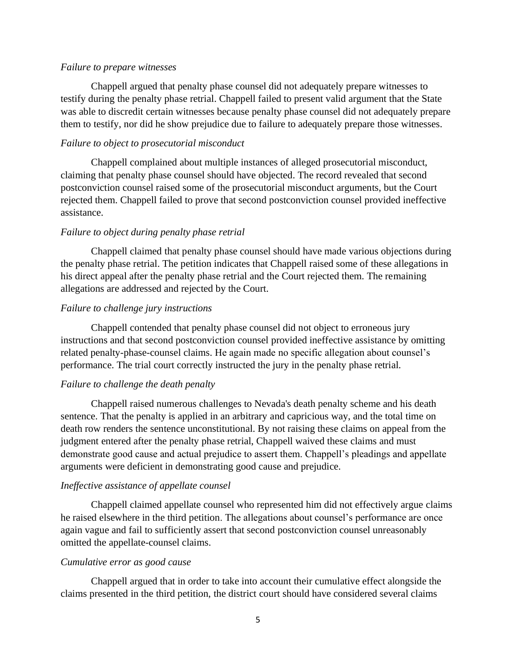#### *Failure to prepare witnesses*

Chappell argued that penalty phase counsel did not adequately prepare witnesses to testify during the penalty phase retrial. Chappell failed to present valid argument that the State was able to discredit certain witnesses because penalty phase counsel did not adequately prepare them to testify, nor did he show prejudice due to failure to adequately prepare those witnesses.

#### *Failure to object to prosecutorial misconduct*

Chappell complained about multiple instances of alleged prosecutorial misconduct, claiming that penalty phase counsel should have objected. The record revealed that second postconviction counsel raised some of the prosecutorial misconduct arguments, but the Court rejected them. Chappell failed to prove that second postconviction counsel provided ineffective assistance.

#### *Failure to object during penalty phase retrial*

Chappell claimed that penalty phase counsel should have made various objections during the penalty phase retrial. The petition indicates that Chappell raised some of these allegations in his direct appeal after the penalty phase retrial and the Court rejected them. The remaining allegations are addressed and rejected by the Court.

#### *Failure to challenge jury instructions*

Chappell contended that penalty phase counsel did not object to erroneous jury instructions and that second postconviction counsel provided ineffective assistance by omitting related penalty-phase-counsel claims. He again made no specific allegation about counsel's performance. The trial court correctly instructed the jury in the penalty phase retrial.

#### *Failure to challenge the death penalty*

Chappell raised numerous challenges to Nevada's death penalty scheme and his death sentence. That the penalty is applied in an arbitrary and capricious way, and the total time on death row renders the sentence unconstitutional. By not raising these claims on appeal from the judgment entered after the penalty phase retrial, Chappell waived these claims and must demonstrate good cause and actual prejudice to assert them. Chappell's pleadings and appellate arguments were deficient in demonstrating good cause and prejudice.

#### *Ineffective assistance of appellate counsel*

Chappell claimed appellate counsel who represented him did not effectively argue claims he raised elsewhere in the third petition. The allegations about counsel's performance are once again vague and fail to sufficiently assert that second postconviction counsel unreasonably omitted the appellate-counsel claims.

#### *Cumulative error as good cause*

Chappell argued that in order to take into account their cumulative effect alongside the claims presented in the third petition, the district court should have considered several claims